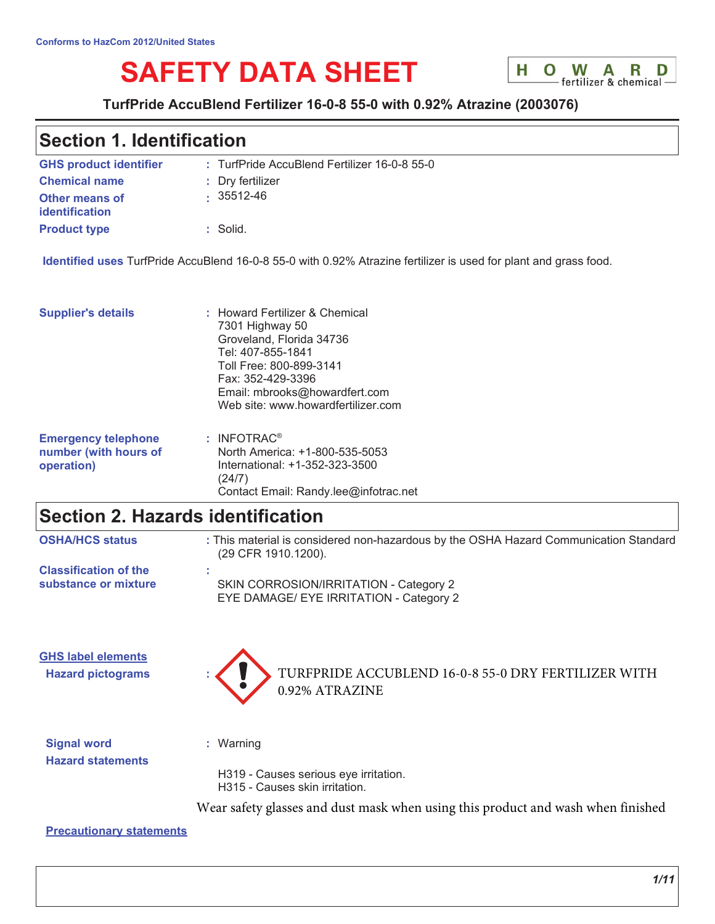# **SAFETY DATA SHEET**



### TurfPride AccuBlend Fertilizer 16-0-8 55-0 with 0.92% Atrazine (2003076)

# **Section 1. Identification**

| <b>GHS product identifier</b>                  | : TurfPride AccuBlend Fertilizer 16-0-8 55-0 |
|------------------------------------------------|----------------------------------------------|
| <b>Chemical name</b>                           | : Dry fertilizer                             |
| <b>Other means of</b><br><b>identification</b> | $\cdot$ 35512-46                             |
| <b>Product type</b>                            | $:$ Solid.                                   |

Identified uses TurfPride AccuBlend 16-0-8 55-0 with 0.92% Atrazine fertilizer is used for plant and grass food.

| <b>Supplier's details</b>  | : Howard Fertilizer & Chemical<br>7301 Highway 50<br>Groveland, Florida 34736<br>Tel: 407-855-1841<br>Toll Free: 800-899-3141<br>Fax: 352-429-3396<br>Email: mbrooks@howardfert.com<br>Web site: www.howardfertilizer.com |
|----------------------------|---------------------------------------------------------------------------------------------------------------------------------------------------------------------------------------------------------------------------|
| <b>Emergency telephone</b> | $:$ INFOTRAC <sup>®</sup>                                                                                                                                                                                                 |
| number (with hours of      | North America: +1-800-535-5053                                                                                                                                                                                            |
| operation)                 | International: +1-352-323-3500                                                                                                                                                                                            |

 $(24/7)$ 

# **Section 2. Hazards identification**

| <b>OSHA/HCS status</b>       | : This material is considered non-hazardous by the OSHA Hazard Communication Standard<br>(29 CFR 1910.1200). |
|------------------------------|--------------------------------------------------------------------------------------------------------------|
| <b>Classification of the</b> | SKIN CORROSION/IRRITATION - Category 2                                                                       |
| substance or mixture         | EYE DAMAGE/ EYE IRRITATION - Category 2                                                                      |

**GHS label elements Hazard pictograms** 



Contact Email: Randy.lee@infotrac.net

**Signal word Hazard statements**  : Warning

H319 - Causes serious eye irritation. H315 - Causes skin irritation.

Wear safety glasses and dust mask when using this product and wash when finished

**Precautionary statements**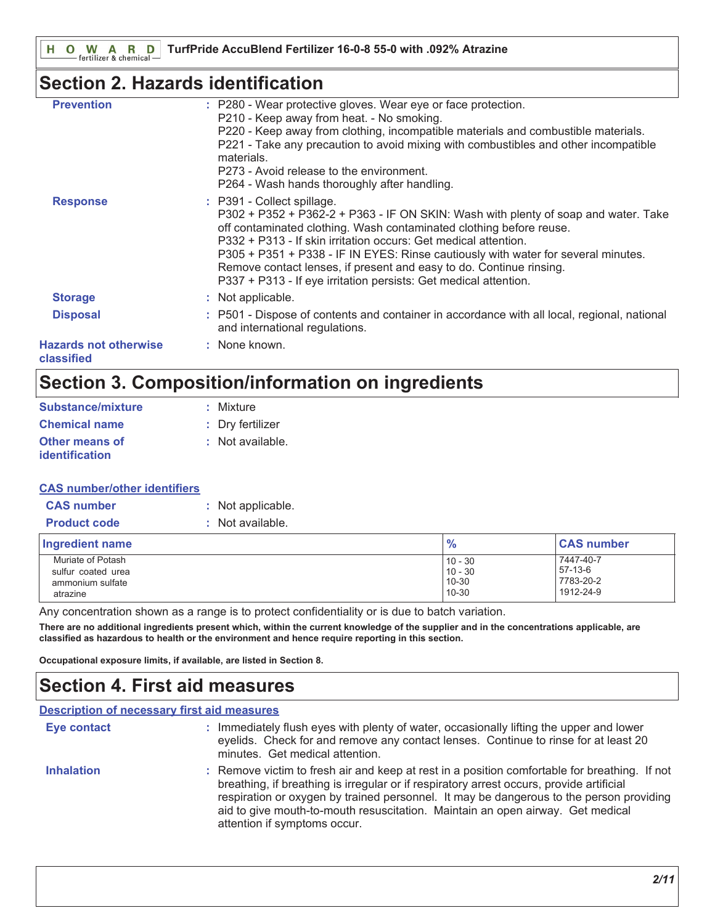# **Section 2. Hazards identification**

| <b>Prevention</b>                          | : P280 - Wear protective gloves. Wear eye or face protection.<br>P210 - Keep away from heat. - No smoking.<br>P220 - Keep away from clothing, incompatible materials and combustible materials.<br>P221 - Take any precaution to avoid mixing with combustibles and other incompatible<br>materials.<br>P273 - Avoid release to the environment.<br>P264 - Wash hands thoroughly after handling.                                                                                           |
|--------------------------------------------|--------------------------------------------------------------------------------------------------------------------------------------------------------------------------------------------------------------------------------------------------------------------------------------------------------------------------------------------------------------------------------------------------------------------------------------------------------------------------------------------|
| <b>Response</b>                            | : P391 - Collect spillage.<br>P302 + P352 + P362-2 + P363 - IF ON SKIN: Wash with plenty of soap and water. Take<br>off contaminated clothing. Wash contaminated clothing before reuse.<br>P332 + P313 - If skin irritation occurs: Get medical attention.<br>P305 + P351 + P338 - IF IN EYES: Rinse cautiously with water for several minutes.<br>Remove contact lenses, if present and easy to do. Continue rinsing.<br>P337 + P313 - If eye irritation persists: Get medical attention. |
| <b>Storage</b>                             | : Not applicable.                                                                                                                                                                                                                                                                                                                                                                                                                                                                          |
| <b>Disposal</b>                            | : P501 - Dispose of contents and container in accordance with all local, regional, national<br>and international regulations.                                                                                                                                                                                                                                                                                                                                                              |
| <b>Hazards not otherwise</b><br>classified | : None known.                                                                                                                                                                                                                                                                                                                                                                                                                                                                              |

# Section 3. Composition/information on ingredients

| Substance/mixture                       | : Mixture        |
|-----------------------------------------|------------------|
| <b>Chemical name</b>                    | : Dry fertilizer |
| Other means of<br><b>identification</b> | : Not available. |

### **CAS number/other identifiers**

| <b>CAS number</b>   | : Not applicable. |
|---------------------|-------------------|
| <b>Product code</b> | : Not available.  |

| Ingredient name    | $\frac{0}{0}$ | <b>CAS number</b> |
|--------------------|---------------|-------------------|
| Muriate of Potash  | $10 - 30$     | 7447-40-7         |
| sulfur coated urea | $10 - 30$     | 57-13-6           |
| ammonium sulfate   | 10-30         | 7783-20-2         |
| atrazine           | 10-30         | 1912-24-9         |

Any concentration shown as a range is to protect confidentiality or is due to batch variation.

There are no additional ingredients present which, within the current knowledge of the supplier and in the concentrations applicable, are classified as hazardous to health or the environment and hence require reporting in this section.

Occupational exposure limits, if available, are listed in Section 8.

# **Section 4. First aid measures**

| <b>Description of necessary first aid measures</b> |                                                                                                                                                                                                                                                                                                                                                                                                        |
|----------------------------------------------------|--------------------------------------------------------------------------------------------------------------------------------------------------------------------------------------------------------------------------------------------------------------------------------------------------------------------------------------------------------------------------------------------------------|
| <b>Eye contact</b>                                 | : Immediately flush eyes with plenty of water, occasionally lifting the upper and lower<br>eyelids. Check for and remove any contact lenses. Continue to rinse for at least 20<br>minutes. Get medical attention.                                                                                                                                                                                      |
| <b>Inhalation</b>                                  | : Remove victim to fresh air and keep at rest in a position comfortable for breathing. If not<br>breathing, if breathing is irregular or if respiratory arrest occurs, provide artificial<br>respiration or oxygen by trained personnel. It may be dangerous to the person providing<br>aid to give mouth-to-mouth resuscitation. Maintain an open airway. Get medical<br>attention if symptoms occur. |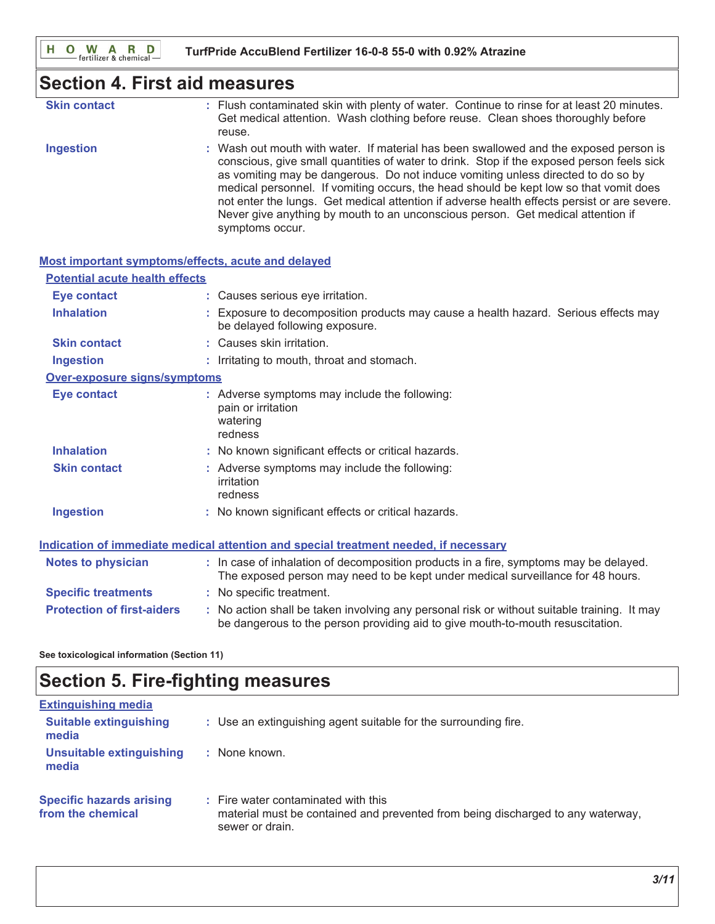# **Section 4. First aid measures**

| <b>Skin contact</b> | : Flush contaminated skin with plenty of water. Continue to rinse for at least 20 minutes.<br>Get medical attention. Wash clothing before reuse. Clean shoes thoroughly before<br>reuse. |
|---------------------|------------------------------------------------------------------------------------------------------------------------------------------------------------------------------------------|
| <b>Ingestion</b>    | : Wash out mouth with water. If material has been swallowed and the exposed person is<br>conscious, give small quantities of water to drink. Stop if the exposed person feels sick       |

as vomiting may be dangerous. Do not induce vomiting unless directed to do so by medical personnel. If vomiting occurs, the head should be kept low so that vomit does not enter the lungs. Get medical attention if adverse health effects persist or are severe. Never give anything by mouth to an unconscious person. Get medical attention if symptoms occur.

| Most important symptoms/effects, acute and delayed                                   |  |                                                                                                                                                                               |  |
|--------------------------------------------------------------------------------------|--|-------------------------------------------------------------------------------------------------------------------------------------------------------------------------------|--|
| <b>Potential acute health effects</b>                                                |  |                                                                                                                                                                               |  |
| <b>Eye contact</b>                                                                   |  | : Causes serious eye irritation.                                                                                                                                              |  |
| <b>Inhalation</b>                                                                    |  | : Exposure to decomposition products may cause a health hazard. Serious effects may<br>be delayed following exposure.                                                         |  |
| <b>Skin contact</b>                                                                  |  | : Causes skin irritation.                                                                                                                                                     |  |
| <b>Ingestion</b>                                                                     |  | : Irritating to mouth, throat and stomach.                                                                                                                                    |  |
| Over-exposure signs/symptoms                                                         |  |                                                                                                                                                                               |  |
| Eye contact                                                                          |  | : Adverse symptoms may include the following:<br>pain or irritation<br>watering<br>redness                                                                                    |  |
| <b>Inhalation</b>                                                                    |  | : No known significant effects or critical hazards.                                                                                                                           |  |
| <b>Skin contact</b>                                                                  |  | : Adverse symptoms may include the following:<br>irritation<br>redness                                                                                                        |  |
| <b>Ingestion</b>                                                                     |  | : No known significant effects or critical hazards.                                                                                                                           |  |
| Indication of immediate medical attention and special treatment needed, if necessary |  |                                                                                                                                                                               |  |
| <b>Notes to physician</b>                                                            |  | : In case of inhalation of decomposition products in a fire, symptoms may be delayed.<br>The exposed person may need to be kept under medical surveillance for 48 hours.      |  |
| <b>Specific treatments</b>                                                           |  | : No specific treatment.                                                                                                                                                      |  |
| <b>Protection of first-aiders</b>                                                    |  | : No action shall be taken involving any personal risk or without suitable training. It may<br>be dangerous to the person providing aid to give mouth-to-mouth resuscitation. |  |

See toxicological information (Section 11)

# **Section 5. Fire-fighting measures**

| <b>Extinguishing media</b>                           |                                                                                                                                           |
|------------------------------------------------------|-------------------------------------------------------------------------------------------------------------------------------------------|
| <b>Suitable extinguishing</b><br>media               | : Use an extinguishing agent suitable for the surrounding fire.                                                                           |
| Unsuitable extinguishing<br>media                    | : None known.                                                                                                                             |
| <b>Specific hazards arising</b><br>from the chemical | : Fire water contaminated with this<br>material must be contained and prevented from being discharged to any waterway,<br>sewer or drain. |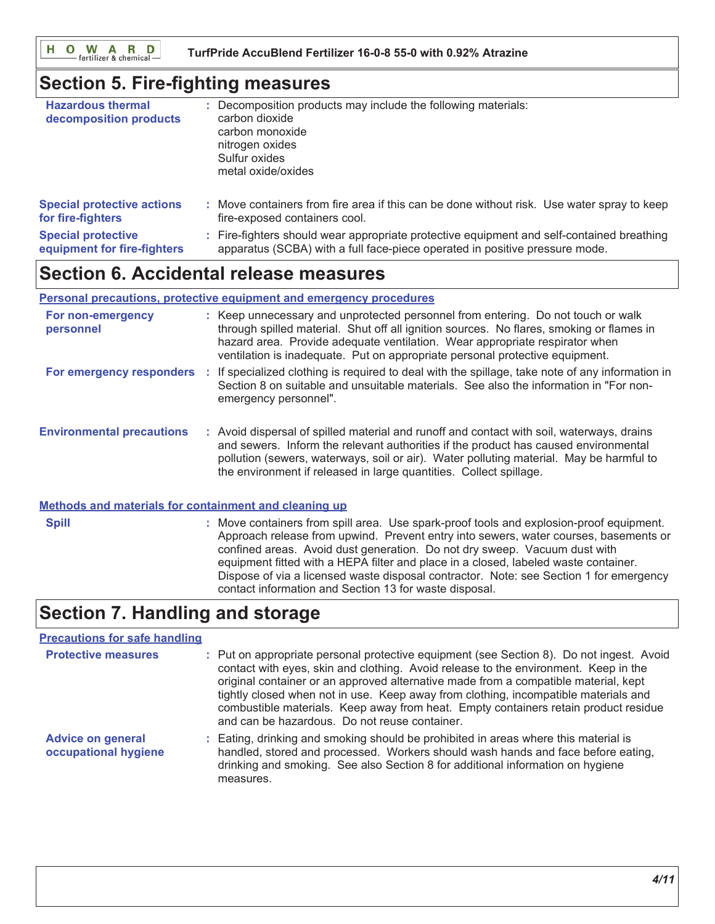O W A R D H.

TurfPride AccuBlend Fertilizer 16-0-8 55-0 with 0.92% Atrazine

## **Section 5. Fire-fighting measures**

| <b>Hazardous thermal</b><br>decomposition products | : Decomposition products may include the following materials:<br>carbon dioxide<br>carbon monoxide<br>nitrogen oxides<br>Sulfur oxides<br>metal oxide/oxides |
|----------------------------------------------------|--------------------------------------------------------------------------------------------------------------------------------------------------------------|
| <b>Special protective actions</b>                  | : Move containers from fire area if this can be done without risk. Use water spray to keep                                                                   |
| for fire-fighters                                  | fire-exposed containers cool.                                                                                                                                |
| <b>Special protective</b>                          | : Fire-fighters should wear appropriate protective equipment and self-contained breathing                                                                    |
| equipment for fire-fighters                        | apparatus (SCBA) with a full face-piece operated in positive pressure mode.                                                                                  |

# **Section 6. Accidental release measures**

#### Personal precautions, protective equipment and emergency procedures

| For non-emergency<br>personnel   | : Keep unnecessary and unprotected personnel from entering. Do not touch or walk<br>through spilled material. Shut off all ignition sources. No flares, smoking or flames in<br>hazard area. Provide adequate ventilation. Wear appropriate respirator when<br>ventilation is inadequate. Put on appropriate personal protective equipment.       |
|----------------------------------|---------------------------------------------------------------------------------------------------------------------------------------------------------------------------------------------------------------------------------------------------------------------------------------------------------------------------------------------------|
| For emergency responders         | If specialized clothing is required to deal with the spillage, take note of any information in<br>Section 8 on suitable and unsuitable materials. See also the information in "For non-<br>emergency personnel".                                                                                                                                  |
| <b>Environmental precautions</b> | : Avoid dispersal of spilled material and runoff and contact with soil, waterways, drains<br>and sewers. Inform the relevant authorities if the product has caused environmental<br>pollution (sewers, waterways, soil or air). Water polluting material. May be harmful to<br>the environment if released in large quantities. Collect spillage. |

#### Methods and materials for containment and cleaning up

: Move containers from spill area. Use spark-proof tools and explosion-proof equipment. **Spill** Approach release from upwind. Prevent entry into sewers, water courses, basements or confined areas. Avoid dust generation. Do not dry sweep. Vacuum dust with equipment fitted with a HEPA filter and place in a closed, labeled waste container. Dispose of via a licensed waste disposal contractor. Note: see Section 1 for emergency contact information and Section 13 for waste disposal.

# **Section 7. Handling and storage**

### **Precautions for safe handling**

| <b>Protective measures</b>                       | : Put on appropriate personal protective equipment (see Section 8). Do not ingest. Avoid<br>contact with eyes, skin and clothing. Avoid release to the environment. Keep in the<br>original container or an approved alternative made from a compatible material, kept<br>tightly closed when not in use. Keep away from clothing, incompatible materials and<br>combustible materials. Keep away from heat. Empty containers retain product residue<br>and can be hazardous. Do not reuse container. |
|--------------------------------------------------|-------------------------------------------------------------------------------------------------------------------------------------------------------------------------------------------------------------------------------------------------------------------------------------------------------------------------------------------------------------------------------------------------------------------------------------------------------------------------------------------------------|
| <b>Advice on general</b><br>occupational hygiene | : Eating, drinking and smoking should be prohibited in areas where this material is<br>handled, stored and processed. Workers should wash hands and face before eating,<br>drinking and smoking. See also Section 8 for additional information on hygiene<br>measures.                                                                                                                                                                                                                                |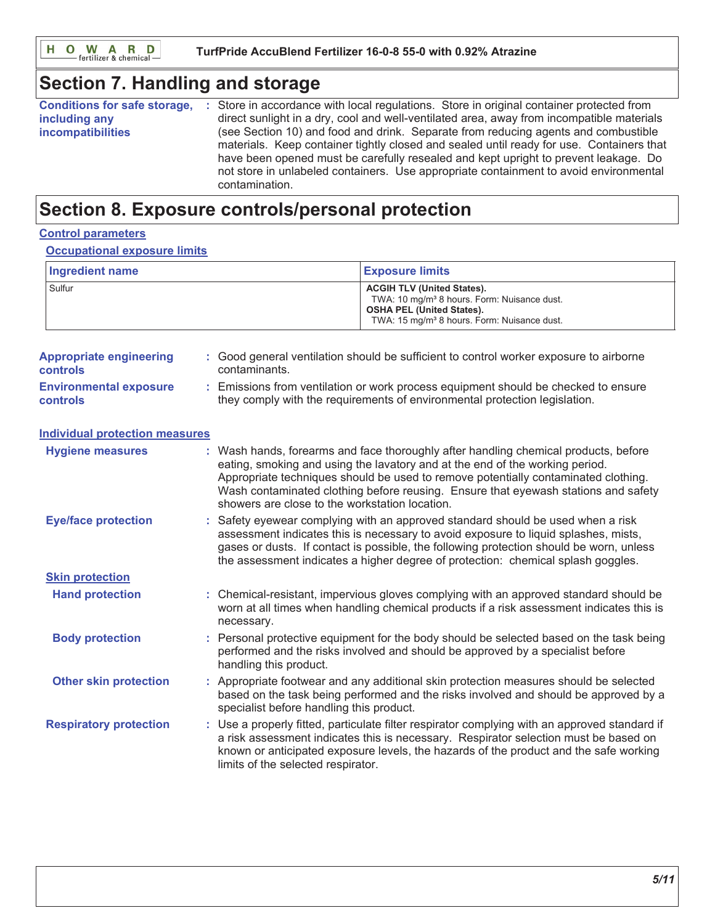# **Section 7. Handling and storage**

| <b>Conditions for safe storage,</b><br>including any<br><b>incompatibilities</b> | Store in accordance with local regulations. Store in original container protected from<br>direct sunlight in a dry, cool and well-ventilated area, away from incompatible materials<br>(see Section 10) and food and drink. Separate from reducing agents and combustible<br>materials. Keep container tightly closed and sealed until ready for use. Containers that<br>have been opened must be carefully resealed and kept upright to prevent leakage. Do<br>not store in unlabeled containers. Use appropriate containment to avoid environmental<br>contamination. |
|----------------------------------------------------------------------------------|-------------------------------------------------------------------------------------------------------------------------------------------------------------------------------------------------------------------------------------------------------------------------------------------------------------------------------------------------------------------------------------------------------------------------------------------------------------------------------------------------------------------------------------------------------------------------|
|----------------------------------------------------------------------------------|-------------------------------------------------------------------------------------------------------------------------------------------------------------------------------------------------------------------------------------------------------------------------------------------------------------------------------------------------------------------------------------------------------------------------------------------------------------------------------------------------------------------------------------------------------------------------|

# Section 8. Exposure controls/personal protection

#### **Control parameters**

#### **Occupational exposure limits**

| <b>Ingredient name</b> | <b>Exposure limits</b>                                                                                                                                                                      |
|------------------------|---------------------------------------------------------------------------------------------------------------------------------------------------------------------------------------------|
| Sulfur                 | <b>ACGIH TLV (United States).</b><br>TWA: 10 mg/m <sup>3</sup> 8 hours. Form: Nuisance dust.<br><b>OSHA PEL (United States).</b><br>TWA: 15 mg/m <sup>3</sup> 8 hours. Form: Nuisance dust. |

| <b>Appropriate engineering</b><br><b>controls</b> | : Good general ventilation should be sufficient to control worker exposure to airborne<br>contaminants.                                                        |
|---------------------------------------------------|----------------------------------------------------------------------------------------------------------------------------------------------------------------|
| <b>Environmental exposure</b><br><b>controls</b>  | Emissions from ventilation or work process equipment should be checked to ensure<br>they comply with the requirements of environmental protection legislation. |
| <b>Individual protection measures</b>             |                                                                                                                                                                |

| <b>Hygiene measures</b>       | : Wash hands, forearms and face thoroughly after handling chemical products, before<br>eating, smoking and using the lavatory and at the end of the working period.<br>Appropriate techniques should be used to remove potentially contaminated clothing.<br>Wash contaminated clothing before reusing. Ensure that eyewash stations and safety<br>showers are close to the workstation location. |
|-------------------------------|---------------------------------------------------------------------------------------------------------------------------------------------------------------------------------------------------------------------------------------------------------------------------------------------------------------------------------------------------------------------------------------------------|
| <b>Eye/face protection</b>    | : Safety eyewear complying with an approved standard should be used when a risk<br>assessment indicates this is necessary to avoid exposure to liquid splashes, mists,<br>gases or dusts. If contact is possible, the following protection should be worn, unless<br>the assessment indicates a higher degree of protection: chemical splash goggles.                                             |
| <b>Skin protection</b>        |                                                                                                                                                                                                                                                                                                                                                                                                   |
| <b>Hand protection</b>        | : Chemical-resistant, impervious gloves complying with an approved standard should be<br>worn at all times when handling chemical products if a risk assessment indicates this is<br>necessary.                                                                                                                                                                                                   |
| <b>Body protection</b>        | : Personal protective equipment for the body should be selected based on the task being<br>performed and the risks involved and should be approved by a specialist before<br>handling this product.                                                                                                                                                                                               |
| <b>Other skin protection</b>  | : Appropriate footwear and any additional skin protection measures should be selected<br>based on the task being performed and the risks involved and should be approved by a<br>specialist before handling this product.                                                                                                                                                                         |
| <b>Respiratory protection</b> | : Use a properly fitted, particulate filter respirator complying with an approved standard if<br>a risk assessment indicates this is necessary. Respirator selection must be based on<br>known or anticipated exposure levels, the hazards of the product and the safe working<br>limits of the selected respirator.                                                                              |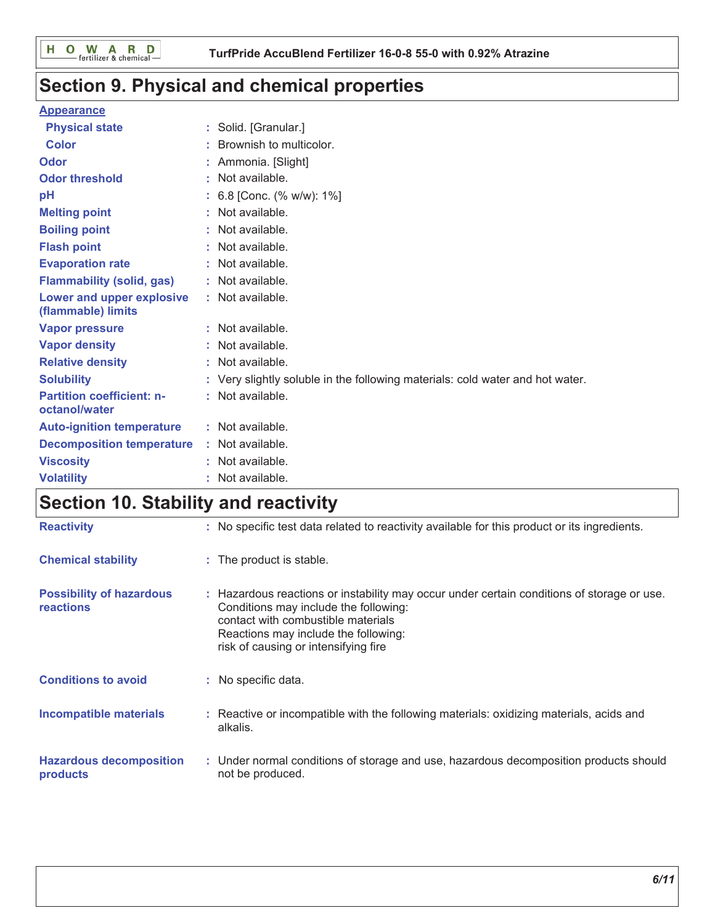# Section 9. Physical and chemical properties

### **Appearance**

| <b>Physical state</b>                             |    | : Solid. [Granular.]                                                          |
|---------------------------------------------------|----|-------------------------------------------------------------------------------|
| <b>Color</b>                                      |    | Brownish to multicolor.                                                       |
| Odor                                              |    | Ammonia. [Slight]                                                             |
| <b>Odor threshold</b>                             | t. | Not available.                                                                |
| рH                                                |    | 6.8 [Conc. (% w/w): 1%]                                                       |
| <b>Melting point</b>                              |    | Not available.                                                                |
| <b>Boiling point</b>                              |    | : Not available.                                                              |
| <b>Flash point</b>                                |    | : Not available.                                                              |
| <b>Evaporation rate</b>                           |    | : Not available.                                                              |
| <b>Flammability (solid, gas)</b>                  |    | : Not available.                                                              |
| Lower and upper explosive<br>(flammable) limits   |    | : Not available.                                                              |
| <b>Vapor pressure</b>                             |    | : Not available.                                                              |
| <b>Vapor density</b>                              |    | : Not available.                                                              |
| <b>Relative density</b>                           |    | : Not available.                                                              |
| <b>Solubility</b>                                 |    | : Very slightly soluble in the following materials: cold water and hot water. |
| <b>Partition coefficient: n-</b><br>octanol/water |    | : Not available.                                                              |
| <b>Auto-ignition temperature</b>                  |    | : Not available.                                                              |
| <b>Decomposition temperature</b>                  |    | : Not available.                                                              |
| <b>Viscosity</b>                                  |    | Not available.                                                                |
| <b>Volatility</b>                                 |    | Not available.                                                                |

# Section 10. Stability and reactivity

| <b>Reactivity</b>                                   | : No specific test data related to reactivity available for this product or its ingredients.                                                                                                                                                              |
|-----------------------------------------------------|-----------------------------------------------------------------------------------------------------------------------------------------------------------------------------------------------------------------------------------------------------------|
| <b>Chemical stability</b>                           | : The product is stable.                                                                                                                                                                                                                                  |
| <b>Possibility of hazardous</b><br><b>reactions</b> | : Hazardous reactions or instability may occur under certain conditions of storage or use.<br>Conditions may include the following:<br>contact with combustible materials<br>Reactions may include the following:<br>risk of causing or intensifying fire |
| <b>Conditions to avoid</b>                          | : No specific data.                                                                                                                                                                                                                                       |
| <b>Incompatible materials</b>                       | : Reactive or incompatible with the following materials: oxidizing materials, acids and<br>alkalis.                                                                                                                                                       |
| <b>Hazardous decomposition</b><br>products          | : Under normal conditions of storage and use, hazardous decomposition products should<br>not be produced.                                                                                                                                                 |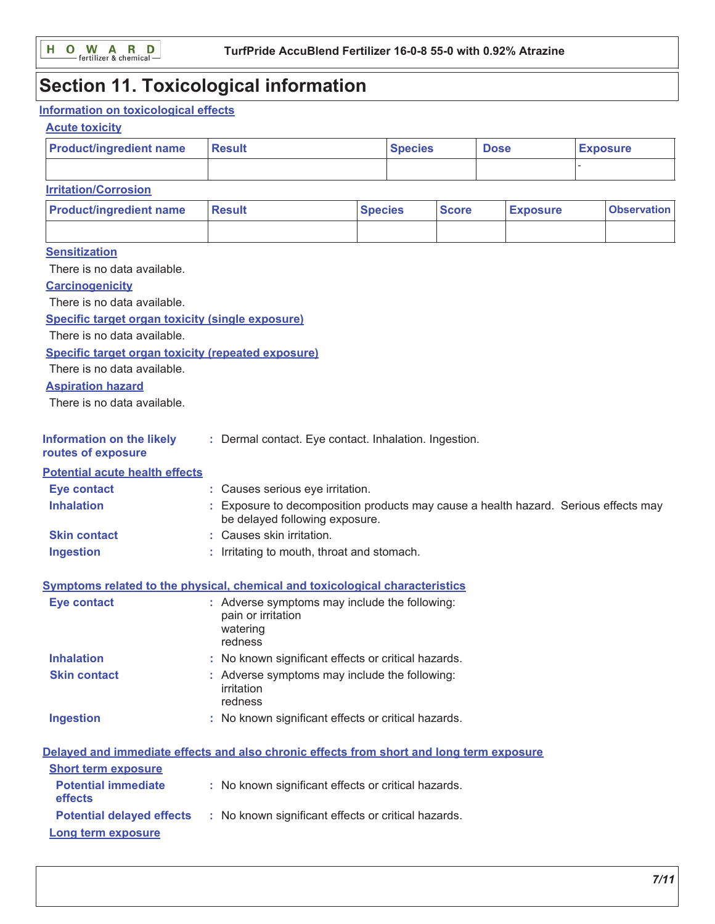# **Section 11. Toxicological information**

## Information on toxicological effects

### **Acute toxicity**

| <b>Product/ingredient name</b>                                                           | <b>Result</b>                                                                                                         | <b>Species</b> |              | <b>Dose</b>     |  | <b>Exposure</b>    |
|------------------------------------------------------------------------------------------|-----------------------------------------------------------------------------------------------------------------------|----------------|--------------|-----------------|--|--------------------|
|                                                                                          |                                                                                                                       |                |              |                 |  |                    |
| <b>Irritation/Corrosion</b>                                                              |                                                                                                                       |                |              |                 |  |                    |
| <b>Product/ingredient name</b>                                                           | <b>Result</b>                                                                                                         | <b>Species</b> | <b>Score</b> | <b>Exposure</b> |  | <b>Observation</b> |
|                                                                                          |                                                                                                                       |                |              |                 |  |                    |
| <b>Sensitization</b>                                                                     |                                                                                                                       |                |              |                 |  |                    |
| There is no data available.                                                              |                                                                                                                       |                |              |                 |  |                    |
| <b>Carcinogenicity</b>                                                                   |                                                                                                                       |                |              |                 |  |                    |
| There is no data available.                                                              |                                                                                                                       |                |              |                 |  |                    |
| <b>Specific target organ toxicity (single exposure)</b>                                  |                                                                                                                       |                |              |                 |  |                    |
| There is no data available.                                                              |                                                                                                                       |                |              |                 |  |                    |
| <b>Specific target organ toxicity (repeated exposure)</b>                                |                                                                                                                       |                |              |                 |  |                    |
| There is no data available.                                                              |                                                                                                                       |                |              |                 |  |                    |
| <b>Aspiration hazard</b>                                                                 |                                                                                                                       |                |              |                 |  |                    |
| There is no data available.                                                              |                                                                                                                       |                |              |                 |  |                    |
| <b>Information on the likely</b><br>routes of exposure                                   | : Dermal contact. Eye contact. Inhalation. Ingestion.                                                                 |                |              |                 |  |                    |
| <b>Potential acute health effects</b>                                                    |                                                                                                                       |                |              |                 |  |                    |
| <b>Eye contact</b>                                                                       | : Causes serious eye irritation.                                                                                      |                |              |                 |  |                    |
| <b>Inhalation</b>                                                                        | : Exposure to decomposition products may cause a health hazard. Serious effects may<br>be delayed following exposure. |                |              |                 |  |                    |
| <b>Skin contact</b>                                                                      | Causes skin irritation.                                                                                               |                |              |                 |  |                    |
| <b>Ingestion</b>                                                                         | : Irritating to mouth, throat and stomach.                                                                            |                |              |                 |  |                    |
| Symptoms related to the physical, chemical and toxicological characteristics             |                                                                                                                       |                |              |                 |  |                    |
| <b>Eye contact</b>                                                                       | : Adverse symptoms may include the following:<br>pain or irritation<br>watering<br>redness                            |                |              |                 |  |                    |
| <b>Inhalation</b>                                                                        | : No known significant effects or critical hazards.                                                                   |                |              |                 |  |                    |
| <b>Skin contact</b>                                                                      | : Adverse symptoms may include the following:<br>irritation<br>redness                                                |                |              |                 |  |                    |
| <b>Ingestion</b>                                                                         | : No known significant effects or critical hazards.                                                                   |                |              |                 |  |                    |
| Delayed and immediate effects and also chronic effects from short and long term exposure |                                                                                                                       |                |              |                 |  |                    |
| <b>Short term exposure</b>                                                               |                                                                                                                       |                |              |                 |  |                    |
| <b>Potential immediate</b><br>effects                                                    | : No known significant effects or critical hazards.                                                                   |                |              |                 |  |                    |
| <b>Potential delayed effects</b>                                                         | : No known significant effects or critical hazards.                                                                   |                |              |                 |  |                    |
| <b>Long term exposure</b>                                                                |                                                                                                                       |                |              |                 |  |                    |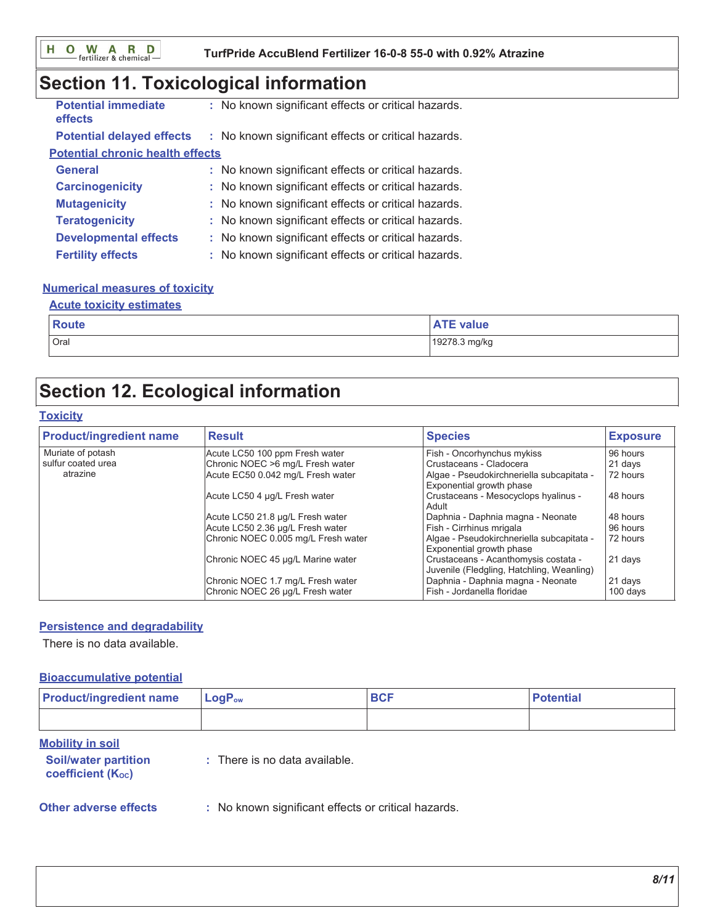#### TurfPride AccuBlend Fertilizer 16-0-8 55-0 with 0.92% Atrazine

# Section 11. Toxicological information

| <b>Potential immediate</b><br>effects   | : No known significant effects or critical hazards. |
|-----------------------------------------|-----------------------------------------------------|
| <b>Potential delayed effects</b>        | : No known significant effects or critical hazards. |
| <b>Potential chronic health effects</b> |                                                     |
| <b>General</b>                          | : No known significant effects or critical hazards. |
| <b>Carcinogenicity</b>                  | : No known significant effects or critical hazards. |
| <b>Mutagenicity</b>                     | : No known significant effects or critical hazards. |
| <b>Teratogenicity</b>                   | : No known significant effects or critical hazards. |
| <b>Developmental effects</b>            | : No known significant effects or critical hazards. |
| <b>Fertility effects</b>                | : No known significant effects or critical hazards. |

### **Numerical measures of toxicity**

#### **Acute toxicity estimates**

| Route | value                   |
|-------|-------------------------|
| Oral  | ة 19278.<br>'78.3 mg/kg |

# **Section 12. Ecological information**

#### **Toxicity**

| <b>Product/ingredient name</b> | <b>Result</b>                                                         | <b>Species</b>                                                                    | <b>Exposure</b>     |
|--------------------------------|-----------------------------------------------------------------------|-----------------------------------------------------------------------------------|---------------------|
| Muriate of potash              | Acute LC50 100 ppm Fresh water                                        | Fish - Oncorhynchus mykiss                                                        | 96 hours            |
| sulfur coated urea             | Chronic NOEC >6 mg/L Fresh water                                      | Crustaceans - Cladocera                                                           | 21 days             |
| atrazine                       | Acute EC50 0.042 mg/L Fresh water                                     | Algae - Pseudokirchneriella subcapitata -<br>Exponential growth phase             | 72 hours            |
|                                | Acute LC50 4 µg/L Fresh water                                         | Crustaceans - Mesocyclops hyalinus -<br>Adult                                     | 48 hours            |
|                                | Acute LC50 21.8 µg/L Fresh water                                      | Daphnia - Daphnia magna - Neonate                                                 | 48 hours            |
|                                | Acute LC50 2.36 µg/L Fresh water                                      | Fish - Cirrhinus mrigala                                                          | 96 hours            |
|                                | Chronic NOEC 0.005 mg/L Fresh water                                   | Algae - Pseudokirchneriella subcapitata -<br>Exponential growth phase             | 72 hours            |
|                                | Chronic NOEC 45 µg/L Marine water                                     | Crustaceans - Acanthomysis costata -<br>Juvenile (Fledgling, Hatchling, Weanling) | 21 days             |
|                                | Chronic NOEC 1.7 mg/L Fresh water<br>Chronic NOEC 26 µg/L Fresh water | Daphnia - Daphnia magna - Neonate<br>Fish - Jordanella floridae                   | 21 days<br>100 days |

#### **Persistence and degradability**

There is no data available.

#### **Bioaccumulative potential**

| <b>Product/ingredient name</b>                                              | $LogP_{ow}$                                         | <b>BCF</b> | <b>Potential</b> |
|-----------------------------------------------------------------------------|-----------------------------------------------------|------------|------------------|
|                                                                             |                                                     |            |                  |
| <b>Mobility in soil</b><br><b>Soil/water partition</b><br>coefficient (Koc) | $:$ There is no data available.                     |            |                  |
| <b>Other adverse effects</b>                                                | : No known significant effects or critical hazards. |            |                  |

 $8/11$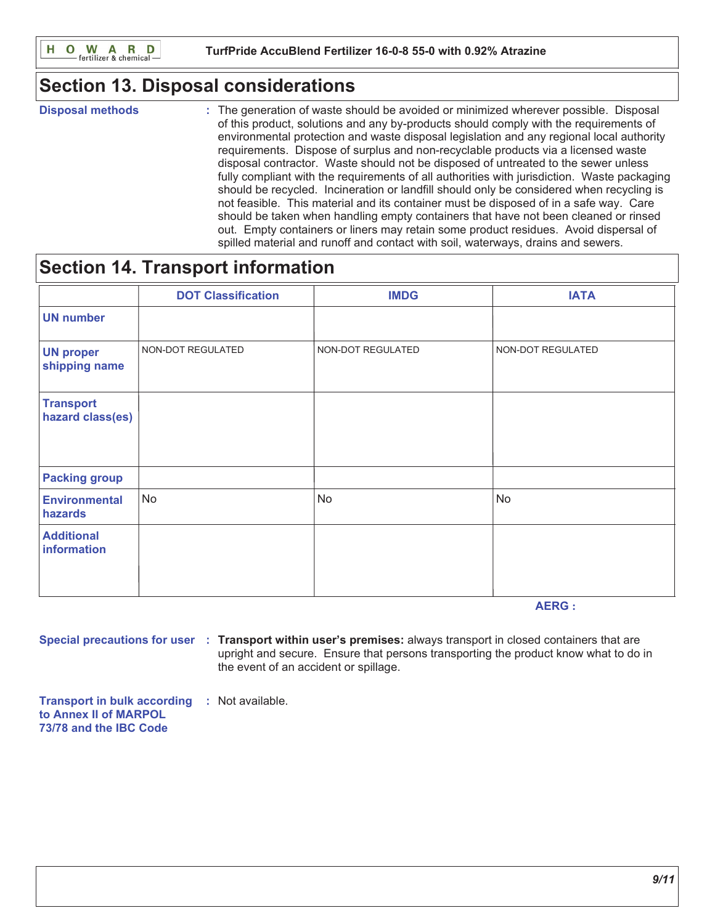# **Section 13. Disposal considerations**

**Disposal methods** 

: The generation of waste should be avoided or minimized wherever possible. Disposal of this product, solutions and any by-products should comply with the requirements of environmental protection and waste disposal legislation and any regional local authority requirements. Dispose of surplus and non-recyclable products via a licensed waste disposal contractor. Waste should not be disposed of untreated to the sewer unless fully compliant with the requirements of all authorities with jurisdiction. Waste packaging should be recycled. Incineration or landfill should only be considered when recycling is not feasible. This material and its container must be disposed of in a safe way. Care should be taken when handling empty containers that have not been cleaned or rinsed out. Empty containers or liners may retain some product residues. Avoid dispersal of spilled material and runoff and contact with soil, waterways, drains and sewers.

# **Section 14. Transport information**

|                                      | <b>DOT Classification</b> | <b>IMDG</b>       | <b>IATA</b>       |
|--------------------------------------|---------------------------|-------------------|-------------------|
| <b>UN number</b>                     |                           |                   |                   |
| <b>UN proper</b><br>shipping name    | NON-DOT REGULATED         | NON-DOT REGULATED | NON-DOT REGULATED |
| <b>Transport</b><br>hazard class(es) |                           |                   |                   |
| <b>Packing group</b>                 |                           |                   |                   |
| <b>Environmental</b><br>hazards      | <b>No</b>                 | <b>No</b>         | No                |
| <b>Additional</b><br>information     |                           |                   |                   |

**AERG:** 

Special precautions for user : Transport within user's premises: always transport in closed containers that are upright and secure. Ensure that persons transporting the product know what to do in the event of an accident or spillage.

**Transport in bulk according : Not available.** to Annex II of MARPOL 73/78 and the IBC Code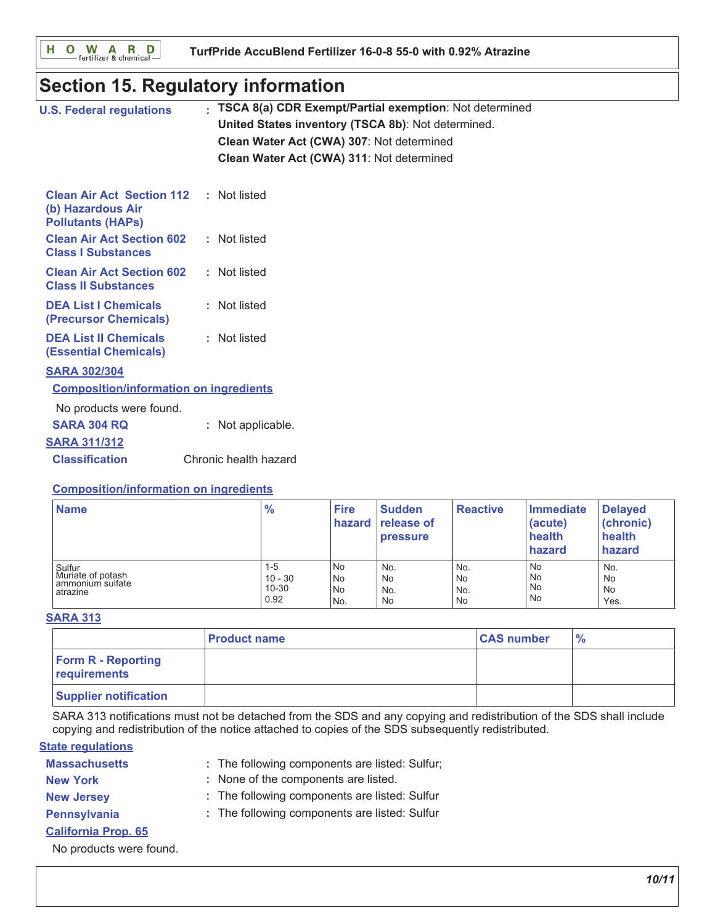O W A R D<br>
Fertilizer & chemical н

# **Section 15. Regulatory information**

| <b>U.S. Federal regulations</b>                                                   | TSCA 8(a) CDR Exempt/Partial exemption: Not determined<br>United States inventory (TSCA 8b): Not determined.<br>Clean Water Act (CWA) 307: Not determined<br>Clean Water Act (CWA) 311: Not determined |
|-----------------------------------------------------------------------------------|--------------------------------------------------------------------------------------------------------------------------------------------------------------------------------------------------------|
| <b>Clean Air Act Section 112</b><br>(b) Hazardous Air<br><b>Pollutants (HAPS)</b> | : Not listed                                                                                                                                                                                           |
| <b>Clean Air Act Section 602</b><br><b>Class I Substances</b>                     | : Not listed                                                                                                                                                                                           |
| <b>Clean Air Act Section 602</b><br><b>Class II Substances</b>                    | : Not listed                                                                                                                                                                                           |
| <b>DEA List I Chemicals</b><br>(Precursor Chemicals)                              | : Not listed                                                                                                                                                                                           |
| <b>DEA List II Chemicals</b><br><b>(Essential Chemicals)</b>                      | : Not listed                                                                                                                                                                                           |
| <b>SARA 302/304</b>                                                               |                                                                                                                                                                                                        |
| <b>Composition/information on ingredients</b>                                     |                                                                                                                                                                                                        |
| No products were found.                                                           |                                                                                                                                                                                                        |
| <b>SARA 304 RQ</b>                                                                | : Not applicable.                                                                                                                                                                                      |
| <b>SARA 311/312</b>                                                               |                                                                                                                                                                                                        |
| <b>Classification</b>                                                             | Chronic health hazard                                                                                                                                                                                  |
| <b>Composition/information on ingredients</b>                                     |                                                                                                                                                                                                        |

| <b>Name</b>                                                 | $\frac{9}{6}$                         | <b>Fire</b>           | <b>Sudden</b><br>hazard release of<br><b>pressure</b> | <b>Reactive</b>        | Immediate<br>(acute)<br>health<br>hazard   | <b>Delayed</b><br>(chronic)<br>health<br>hazard |
|-------------------------------------------------------------|---------------------------------------|-----------------------|-------------------------------------------------------|------------------------|--------------------------------------------|-------------------------------------------------|
| Sulfur<br>Muriate of potash<br>ammonium sulfate<br>atrazine | $1 - 5$<br>$10 - 30$<br>10-30<br>0.92 | No<br>No<br>No<br>No. | No.<br>No<br>No.<br>No                                | No.<br>No<br>No.<br>No | <b>No</b><br><b>No</b><br>No.<br><b>No</b> | No.<br><b>No</b><br><b>No</b><br>Yes.           |

#### **SARA 313**

|                                           | l Product name | <b>CAS number</b> | $\frac{1}{2}$ |
|-------------------------------------------|----------------|-------------------|---------------|
| <b>Form R - Reporting</b><br>requirements |                |                   |               |
| <b>Supplier notification</b>              |                |                   |               |

SARA 313 notifications must not be detached from the SDS and any copying and redistribution of the SDS shall include copying and redistribution of the notice attached to copies of the SDS subsequently redistributed.

#### **State regulations**

| <b>Massachusetts</b> |  | : The following components are listed: Sulfur |
|----------------------|--|-----------------------------------------------|
|----------------------|--|-----------------------------------------------|

- : None of the components are listed. **New York**
- **New Jersey**
- : The following components are listed: Sulfur
- Pennsylvania
- : The following components are listed: Sulfur
- **California Prop. 65**

No products were found.